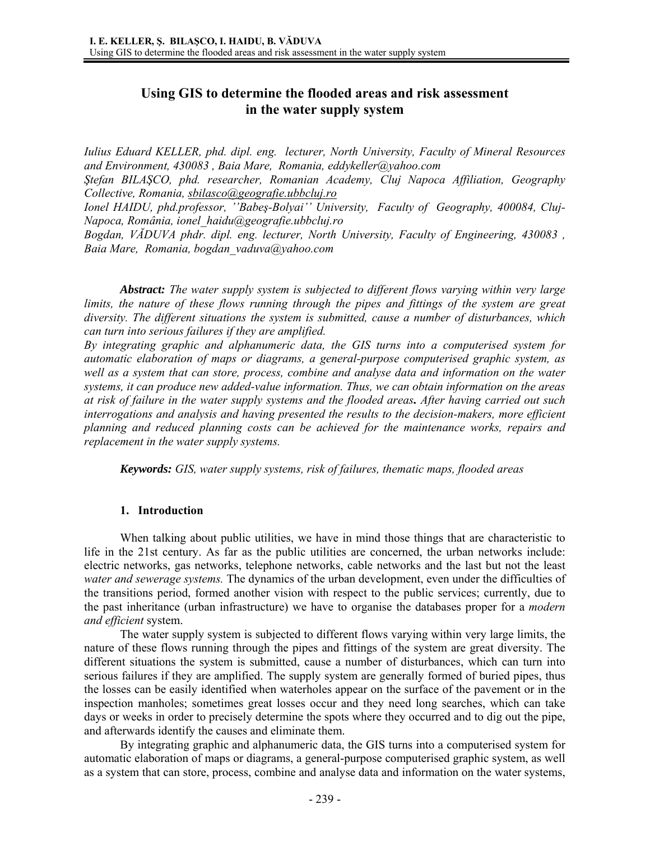# **Using GIS to determine the flooded areas and risk assessment in the water supply system**

*Iulius Eduard KELLER, phd. dipl. eng. lecturer, North University, Faculty of Mineral Resources and Environment, 430083 , Baia Mare, Romania, eddykeller@yahoo.com Ştefan BILAŞCO, phd. researcher, Romanian Academy, Cluj Napoca Affiliation, Geography Collective, Romania, sbilasco@geografie.ubbcluj.ro*

*Ionel HAIDU, phd.professor, ''Babeş-Bolyai'' University, Faculty of Geography, 400084, Cluj-Napoca, România, ionel\_haidu@geografie.ubbcluj.ro* 

*Bogdan, VĂDUVA phdr. dipl. eng. lecturer, North University, Faculty of Engineering, 430083 , Baia Mare, Romania, bogdan\_vaduva@yahoo.com* 

*Abstract: The water supply system is subjected to different flows varying within very large limits, the nature of these flows running through the pipes and fittings of the system are great diversity. The different situations the system is submitted, cause a number of disturbances, which can turn into serious failures if they are amplified.* 

*By integrating graphic and alphanumeric data, the GIS turns into a computerised system for automatic elaboration of maps or diagrams, a general-purpose computerised graphic system, as well as a system that can store, process, combine and analyse data and information on the water systems, it can produce new added-value information. Thus, we can obtain information on the areas at risk of failure in the water supply systems and the flooded areas. After having carried out such interrogations and analysis and having presented the results to the decision-makers, more efficient planning and reduced planning costs can be achieved for the maintenance works, repairs and replacement in the water supply systems.* 

*Keywords: GIS, water supply systems, risk of failures, thematic maps, flooded areas* 

# **1. Introduction**

When talking about public utilities, we have in mind those things that are characteristic to life in the 21st century. As far as the public utilities are concerned, the urban networks include: electric networks, gas networks, telephone networks, cable networks and the last but not the least *water and sewerage systems.* The dynamics of the urban development, even under the difficulties of the transitions period, formed another vision with respect to the public services; currently, due to the past inheritance (urban infrastructure) we have to organise the databases proper for a *modern and efficient* system.

The water supply system is subjected to different flows varying within very large limits, the nature of these flows running through the pipes and fittings of the system are great diversity. The different situations the system is submitted, cause a number of disturbances, which can turn into serious failures if they are amplified. The supply system are generally formed of buried pipes, thus the losses can be easily identified when waterholes appear on the surface of the pavement or in the inspection manholes; sometimes great losses occur and they need long searches, which can take days or weeks in order to precisely determine the spots where they occurred and to dig out the pipe, and afterwards identify the causes and eliminate them.

By integrating graphic and alphanumeric data, the GIS turns into a computerised system for automatic elaboration of maps or diagrams, a general-purpose computerised graphic system, as well as a system that can store, process, combine and analyse data and information on the water systems,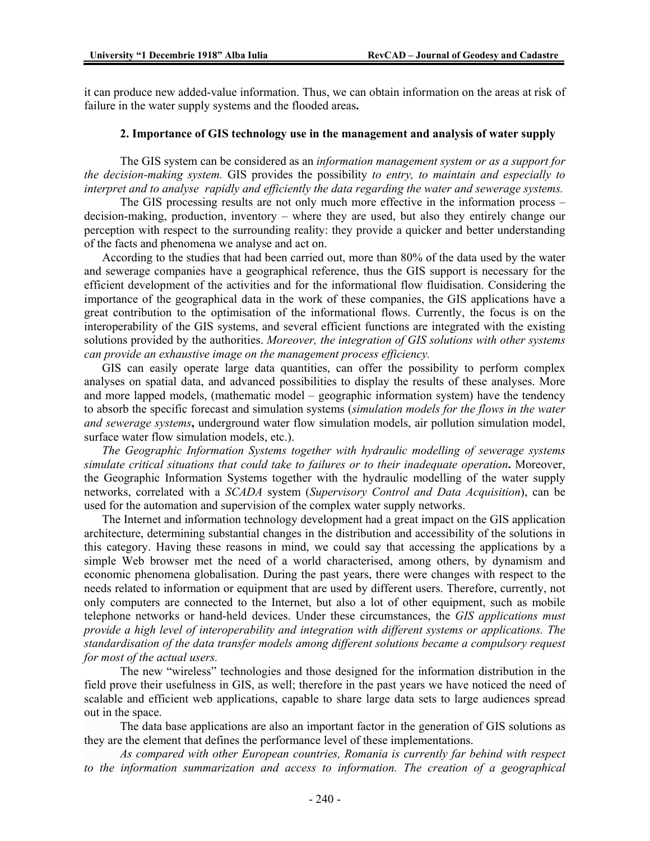it can produce new added-value information. Thus, we can obtain information on the areas at risk of failure in the water supply systems and the flooded areas**.** 

#### **2. Importance of GIS technology use in the management and analysis of water supply**

The GIS system can be considered as an *information management system or as a support for the decision-making system.* GIS provides the possibility *to entry, to maintain and especially to interpret and to analyse rapidly and efficiently the data regarding the water and sewerage systems.* 

The GIS processing results are not only much more effective in the information process – decision-making, production, inventory – where they are used, but also they entirely change our perception with respect to the surrounding reality: they provide a quicker and better understanding of the facts and phenomena we analyse and act on.

According to the studies that had been carried out, more than 80% of the data used by the water and sewerage companies have a geographical reference, thus the GIS support is necessary for the efficient development of the activities and for the informational flow fluidisation. Considering the importance of the geographical data in the work of these companies, the GIS applications have a great contribution to the optimisation of the informational flows. Currently, the focus is on the interoperability of the GIS systems, and several efficient functions are integrated with the existing solutions provided by the authorities. *Moreover, the integration of GIS solutions with other systems can provide an exhaustive image on the management process efficiency.* 

GIS can easily operate large data quantities, can offer the possibility to perform complex analyses on spatial data, and advanced possibilities to display the results of these analyses. More and more lapped models, (mathematic model – geographic information system) have the tendency to absorb the specific forecast and simulation systems (*simulation models for the flows in the water and sewerage systems***,** underground water flow simulation models, air pollution simulation model, surface water flow simulation models, etc.).

*The Geographic Information Systems together with hydraulic modelling of sewerage systems simulate critical situations that could take to failures or to their inadequate operation***.** Moreover, the Geographic Information Systems together with the hydraulic modelling of the water supply networks, correlated with a *SCADA* system (*Supervisory Control and Data Acquisition*), can be used for the automation and supervision of the complex water supply networks.

The Internet and information technology development had a great impact on the GIS application architecture, determining substantial changes in the distribution and accessibility of the solutions in this category. Having these reasons in mind, we could say that accessing the applications by a simple Web browser met the need of a world characterised, among others, by dynamism and economic phenomena globalisation. During the past years, there were changes with respect to the needs related to information or equipment that are used by different users. Therefore, currently, not only computers are connected to the Internet, but also a lot of other equipment, such as mobile telephone networks or hand-held devices. Under these circumstances, the *GIS applications must provide a high level of interoperability and integration with different systems or applications. The standardisation of the data transfer models among different solutions became a compulsory request for most of the actual users.* 

The new "wireless" technologies and those designed for the information distribution in the field prove their usefulness in GIS, as well; therefore in the past years we have noticed the need of scalable and efficient web applications, capable to share large data sets to large audiences spread out in the space.

The data base applications are also an important factor in the generation of GIS solutions as they are the element that defines the performance level of these implementations.

*As compared with other European countries, Romania is currently far behind with respect to the information summarization and access to information. The creation of a geographical*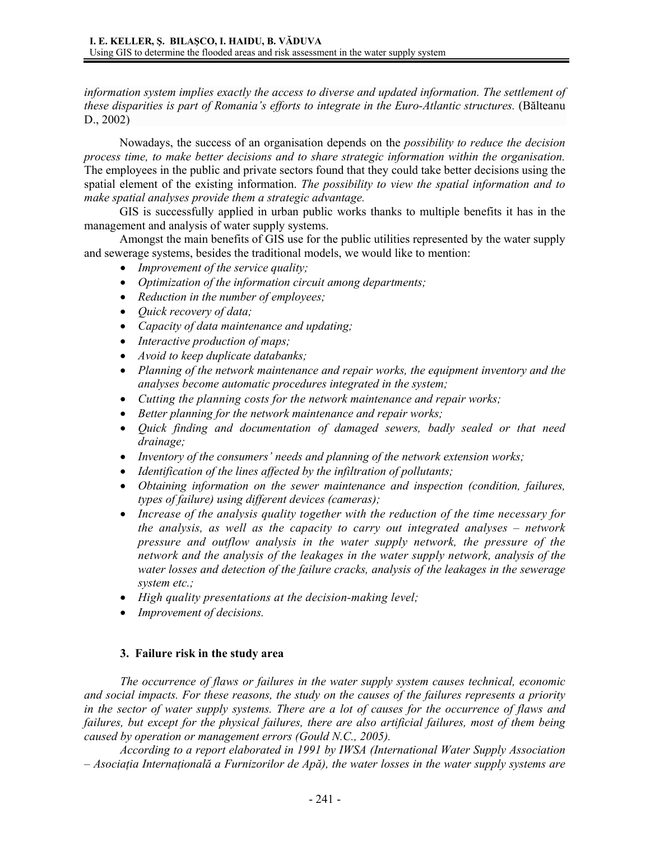information system implies exactly the access to diverse and updated information. The settlement of *these disparities is part of Romania's efforts to integrate in the Euro-Atlantic structures.* (Bălteanu D., 2002)

Nowadays, the success of an organisation depends on the *possibility to reduce the decision process time, to make better decisions and to share strategic information within the organisation.* The employees in the public and private sectors found that they could take better decisions using the spatial element of the existing information. *The possibility to view the spatial information and to make spatial analyses provide them a strategic advantage.*

GIS is successfully applied in urban public works thanks to multiple benefits it has in the management and analysis of water supply systems.

Amongst the main benefits of GIS use for the public utilities represented by the water supply and sewerage systems, besides the traditional models, we would like to mention:

- *Improvement of the service quality;*
- *Optimization of the information circuit among departments;*
- *Reduction in the number of employees;*
- *Quick recovery of data;*
- *Capacity of data maintenance and updating;*
- *Interactive production of maps;*
- *Avoid to keep duplicate databanks;*
- *Planning of the network maintenance and repair works, the equipment inventory and the analyses become automatic procedures integrated in the system;*
- *Cutting the planning costs for the network maintenance and repair works;*
- *Better planning for the network maintenance and repair works;*
- *Quick finding and documentation of damaged sewers, badly sealed or that need drainage;*
- *Inventory of the consumers' needs and planning of the network extension works;*
- *Identification of the lines affected by the infiltration of pollutants;*
- *Obtaining information on the sewer maintenance and inspection (condition, failures, types of failure) using different devices (cameras);*
- *Increase of the analysis quality together with the reduction of the time necessary for the analysis, as well as the capacity to carry out integrated analyses – network pressure and outflow analysis in the water supply network, the pressure of the network and the analysis of the leakages in the water supply network, analysis of the water losses and detection of the failure cracks, analysis of the leakages in the sewerage system etc.;*
- *High quality presentations at the decision-making level;*
- *Improvement of decisions.*

# **3. Failure risk in the study area**

*The occurrence of flaws or failures in the water supply system causes technical, economic and social impacts. For these reasons, the study on the causes of the failures represents a priority in the sector of water supply systems. There are a lot of causes for the occurrence of flaws and failures, but except for the physical failures, there are also artificial failures, most of them being caused by operation or management errors (Gould N.C., 2005).* 

*According to a report elaborated in 1991 by IWSA (International Water Supply Association – Asociaţia Internaţională a Furnizorilor de Apă), the water losses in the water supply systems are*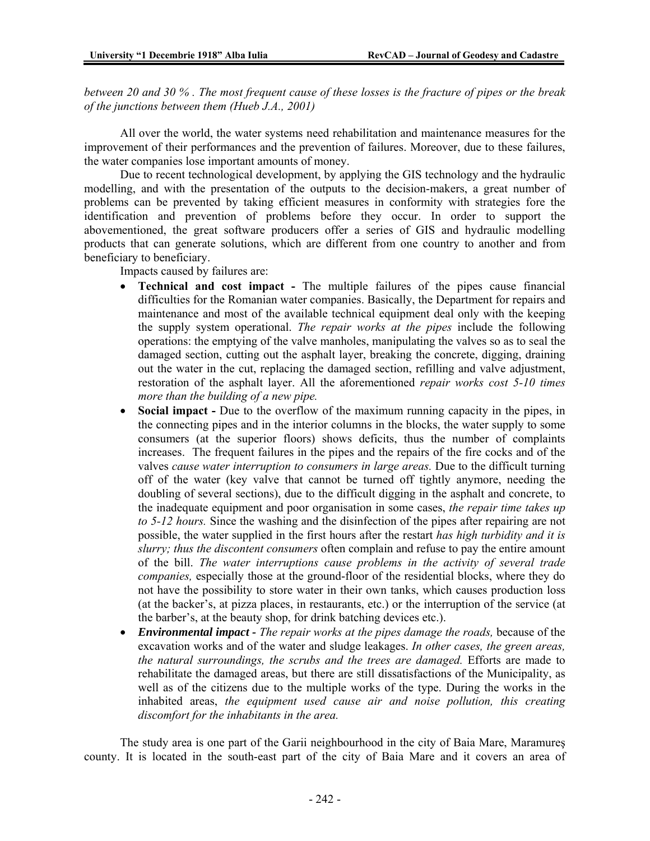*between 20 and 30 % . The most frequent cause of these losses is the fracture of pipes or the break of the junctions between them (Hueb J.A., 2001)* 

All over the world, the water systems need rehabilitation and maintenance measures for the improvement of their performances and the prevention of failures. Moreover, due to these failures, the water companies lose important amounts of money.

Due to recent technological development, by applying the GIS technology and the hydraulic modelling, and with the presentation of the outputs to the decision-makers, a great number of problems can be prevented by taking efficient measures in conformity with strategies fore the identification and prevention of problems before they occur. In order to support the abovementioned, the great software producers offer a series of GIS and hydraulic modelling products that can generate solutions, which are different from one country to another and from beneficiary to beneficiary.

Impacts caused by failures are:

- **Technical and cost impact** The multiple failures of the pipes cause financial difficulties for the Romanian water companies. Basically, the Department for repairs and maintenance and most of the available technical equipment deal only with the keeping the supply system operational. *The repair works at the pipes* include the following operations: the emptying of the valve manholes, manipulating the valves so as to seal the damaged section, cutting out the asphalt layer, breaking the concrete, digging, draining out the water in the cut, replacing the damaged section, refilling and valve adjustment, restoration of the asphalt layer. All the aforementioned *repair works cost 5-10 times more than the building of a new pipe.*
- **Social impact -** Due to the overflow of the maximum running capacity in the pipes, in the connecting pipes and in the interior columns in the blocks, the water supply to some consumers (at the superior floors) shows deficits, thus the number of complaints increases. The frequent failures in the pipes and the repairs of the fire cocks and of the valves *cause water interruption to consumers in large areas.* Due to the difficult turning off of the water (key valve that cannot be turned off tightly anymore, needing the doubling of several sections), due to the difficult digging in the asphalt and concrete, to the inadequate equipment and poor organisation in some cases, *the repair time takes up to 5-12 hours.* Since the washing and the disinfection of the pipes after repairing are not possible, the water supplied in the first hours after the restart *has high turbidity and it is slurry; thus the discontent consumers* often complain and refuse to pay the entire amount of the bill. *The water interruptions cause problems in the activity of several trade companies,* especially those at the ground-floor of the residential blocks, where they do not have the possibility to store water in their own tanks, which causes production loss (at the backer's, at pizza places, in restaurants, etc.) or the interruption of the service (at the barber's, at the beauty shop, for drink batching devices etc.).
- *Environmental impact The repair works at the pipes damage the roads,* because of the excavation works and of the water and sludge leakages. *In other cases, the green areas, the natural surroundings, the scrubs and the trees are damaged.* Efforts are made to rehabilitate the damaged areas, but there are still dissatisfactions of the Municipality, as well as of the citizens due to the multiple works of the type. During the works in the inhabited areas, *the equipment used cause air and noise pollution, this creating discomfort for the inhabitants in the area.*

The study area is one part of the Garii neighbourhood in the city of Baia Mare, Maramureş county. It is located in the south-east part of the city of Baia Mare and it covers an area of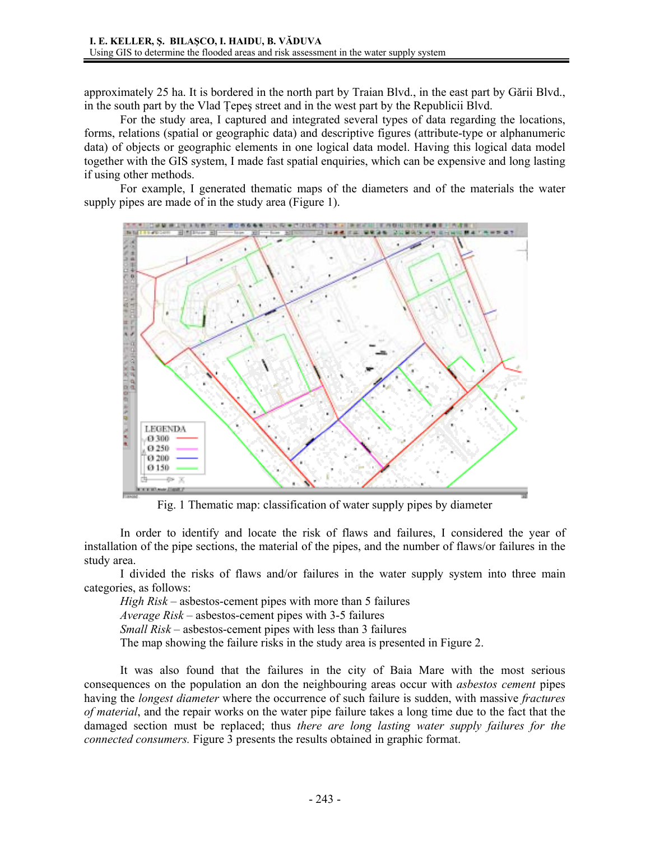approximately 25 ha. It is bordered in the north part by Traian Blvd., in the east part by Gării Blvd., in the south part by the Vlad Ţepeş street and in the west part by the Republicii Blvd.

For the study area, I captured and integrated several types of data regarding the locations, forms, relations (spatial or geographic data) and descriptive figures (attribute-type or alphanumeric data) of objects or geographic elements in one logical data model. Having this logical data model together with the GIS system, I made fast spatial enquiries, which can be expensive and long lasting if using other methods.

For example, I generated thematic maps of the diameters and of the materials the water supply pipes are made of in the study area (Figure 1).



Fig. 1 Thematic map: classification of water supply pipes by diameter

In order to identify and locate the risk of flaws and failures, I considered the year of installation of the pipe sections, the material of the pipes, and the number of flaws/or failures in the study area.

I divided the risks of flaws and/or failures in the water supply system into three main categories, as follows:

*High Risk* – asbestos-cement pipes with more than 5 failures

*Average Risk* – asbestos-cement pipes with 3-5 failures

*Small Risk* – asbestos-cement pipes with less than 3 failures

The map showing the failure risks in the study area is presented in Figure 2.

It was also found that the failures in the city of Baia Mare with the most serious consequences on the population an don the neighbouring areas occur with *asbestos cement* pipes having the *longest diameter* where the occurrence of such failure is sudden, with massive *fractures of material*, and the repair works on the water pipe failure takes a long time due to the fact that the damaged section must be replaced; thus *there are long lasting water supply failures for the connected consumers.* Figure 3 presents the results obtained in graphic format.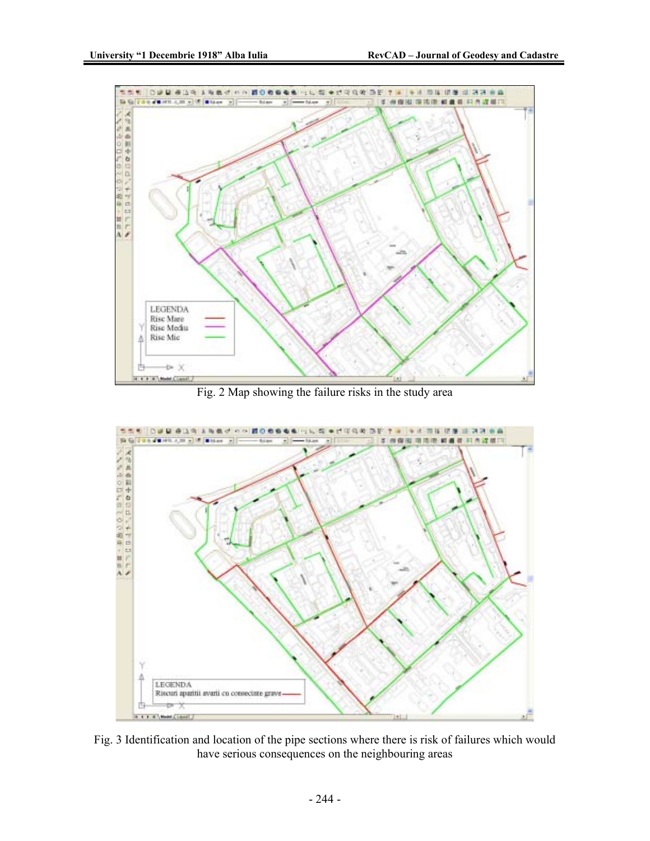

Fig. 2 Map showing the failure risks in the study area



Fig. 3 Identification and location of the pipe sections where there is risk of failures which would have serious consequences on the neighbouring areas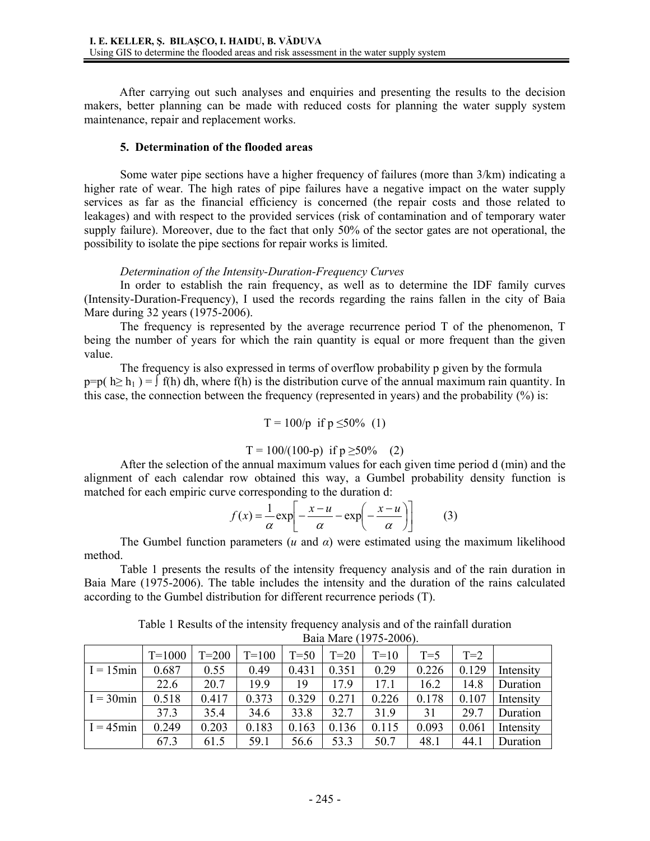After carrying out such analyses and enquiries and presenting the results to the decision makers, better planning can be made with reduced costs for planning the water supply system maintenance, repair and replacement works.

#### **5. Determination of the flooded areas**

Some water pipe sections have a higher frequency of failures (more than 3/km) indicating a higher rate of wear. The high rates of pipe failures have a negative impact on the water supply services as far as the financial efficiency is concerned (the repair costs and those related to leakages) and with respect to the provided services (risk of contamination and of temporary water supply failure). Moreover, due to the fact that only 50% of the sector gates are not operational, the possibility to isolate the pipe sections for repair works is limited.

# *Determination of the Intensity-Duration-Frequency Curves*

In order to establish the rain frequency, as well as to determine the IDF family curves (Intensity-Duration-Frequency), I used the records regarding the rains fallen in the city of Baia Mare during 32 years (1975-2006).

The frequency is represented by the average recurrence period T of the phenomenon, T being the number of years for which the rain quantity is equal or more frequent than the given value.

 The frequency is also expressed in terms of overflow probability p given by the formula  $p=p(n \geq h_1) = \int f(h) dh$ , where  $f(h)$  is the distribution curve of the annual maximum rain quantity. In this case, the connection between the frequency (represented in years) and the probability  $(\% )$  is:

$$
T = 100/p
$$
 if  $p \le 50\%$  (1)

$$
T = 100/(100-p)
$$
 if  $p \ge 50\%$  (2)

 After the selection of the annual maximum values for each given time period d (min) and the alignment of each calendar row obtained this way, a Gumbel probability density function is matched for each empiric curve corresponding to the duration d:

$$
f(x) = \frac{1}{\alpha} \exp\left[-\frac{x-u}{\alpha} - \exp\left(-\frac{x-u}{\alpha}\right)\right]
$$
 (3)

The Gumbel function parameters ( $u$  and  $\alpha$ ) were estimated using the maximum likelihood method.

Table 1 presents the results of the intensity frequency analysis and of the rain duration in Baia Mare (1975-2006). The table includes the intensity and the duration of the rains calculated according to the Gumbel distribution for different recurrence periods (T).

| Daia Maic $(1777 - 2000)$ . |            |         |           |        |        |        |       |       |           |  |  |  |
|-----------------------------|------------|---------|-----------|--------|--------|--------|-------|-------|-----------|--|--|--|
|                             | $T = 1000$ | $T=200$ | $T = 100$ | $T=50$ | $T=20$ | $T=10$ | $T=5$ | $T=2$ |           |  |  |  |
| $I = 15$ min                | 0.687      | 0.55    | 0.49      | 0.431  | 0.351  | 0.29   | 0.226 | 0.129 | Intensity |  |  |  |
|                             | 22.6       | 20.7    | 19.9      | 19     | 17.9   | 17.1   | 16.2  | 14.8  | Duration  |  |  |  |
| $I = 30$ min                | 0.518      | 0.417   | 0.373     | 0.329  | 0.271  | 0.226  | 0.178 | 0.107 | Intensity |  |  |  |
|                             | 37.3       | 35.4    | 34.6      | 33.8   | 32.7   | 31.9   | 31    | 29.7  | Duration  |  |  |  |
| $I = 45$ min                | 0.249      | 0.203   | 0.183     | 0.163  | 0.136  | 0.115  | 0.093 | 0.061 | Intensity |  |  |  |
|                             | 67.3       | 61.5    | 59.1      | 56.6   | 53.3   | 50.7   | 48.1  | 44.1  | Duration  |  |  |  |

Table 1 Results of the intensity frequency analysis and of the rainfall duration Baia Mare (1975-2006).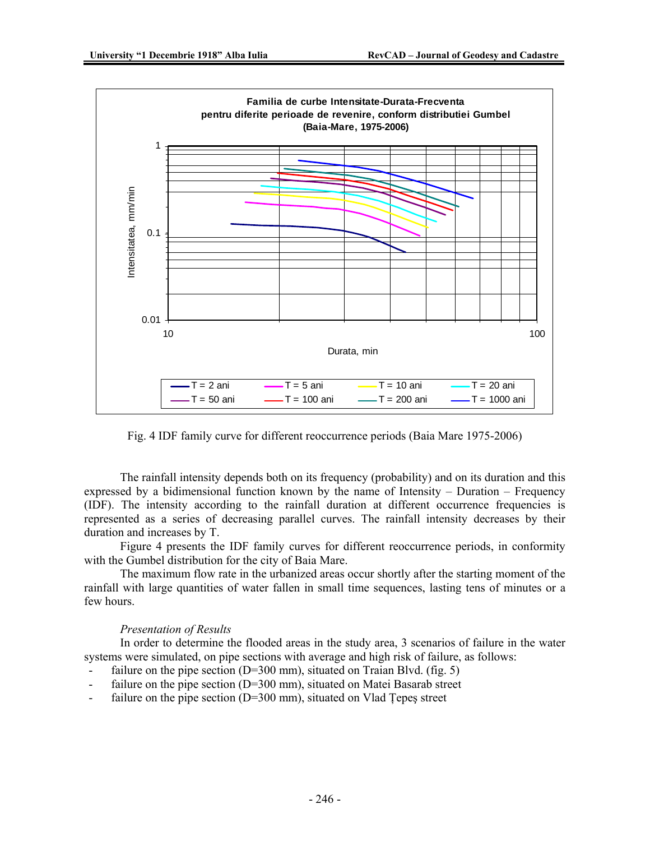

Fig. 4 IDF family curve for different reoccurrence periods (Baia Mare 1975-2006)

The rainfall intensity depends both on its frequency (probability) and on its duration and this expressed by a bidimensional function known by the name of Intensity – Duration – Frequency (IDF). The intensity according to the rainfall duration at different occurrence frequencies is represented as a series of decreasing parallel curves. The rainfall intensity decreases by their duration and increases by T.

Figure 4 presents the IDF family curves for different reoccurrence periods, in conformity with the Gumbel distribution for the city of Baia Mare.

The maximum flow rate in the urbanized areas occur shortly after the starting moment of the rainfall with large quantities of water fallen in small time sequences, lasting tens of minutes or a few hours.

# *Presentation of Results*

In order to determine the flooded areas in the study area, 3 scenarios of failure in the water systems were simulated, on pipe sections with average and high risk of failure, as follows:

- failure on the pipe section ( $D=300$  mm), situated on Traian Blvd. (fig. 5)
- failure on the pipe section ( $D=300$  mm), situated on Matei Basarab street
- failure on the pipe section  $(D=300 \text{ mm})$ , situated on Vlad Tepes street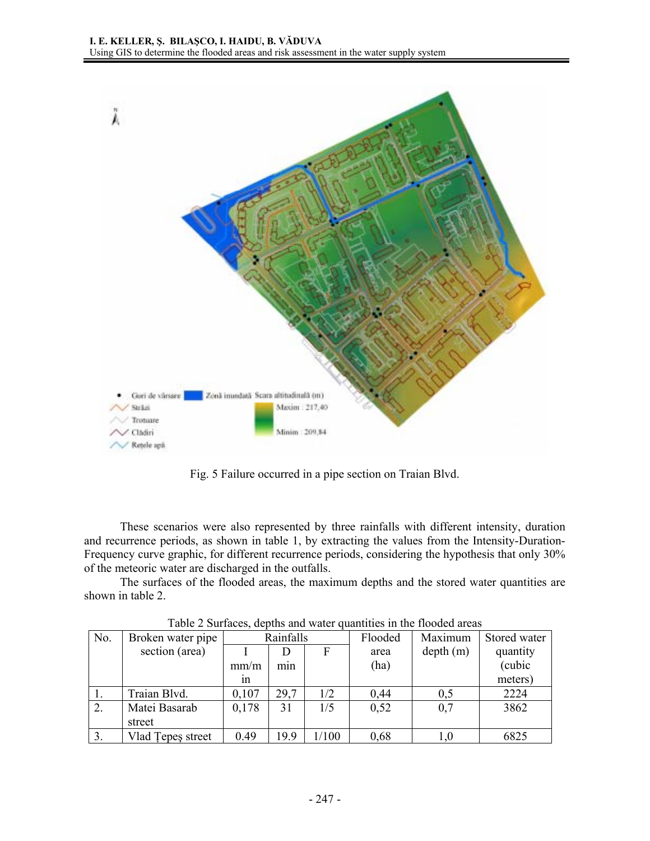

Fig. 5 Failure occurred in a pipe section on Traian Blvd.

These scenarios were also represented by three rainfalls with different intensity, duration and recurrence periods, as shown in table 1, by extracting the values from the Intensity-Duration-Frequency curve graphic, for different recurrence periods, considering the hypothesis that only 30% of the meteoric water are discharged in the outfalls.

The surfaces of the flooded areas, the maximum depths and the stored water quantities are shown in table 2.

| No.              | Broken water pipe | Rainfalls |      |       | Flooded | Maximum  | Stored water |  |  |  |  |  |
|------------------|-------------------|-----------|------|-------|---------|----------|--------------|--|--|--|--|--|
|                  | section (area)    |           |      | F     | area    | depth(m) | quantity     |  |  |  |  |  |
|                  |                   | mm/m      | mnn  |       | (ha)    |          | (cubic       |  |  |  |  |  |
|                  |                   | 1n        |      |       |         |          | meters)      |  |  |  |  |  |
|                  | Traian Blvd.      | 0,107     | 29,7 | 1/2   | 0,44    | 0,5      | 2224         |  |  |  |  |  |
| $\overline{2}$ . | Matei Basarab     | 0,178     | 31   | 1/5   | 0,52    | 0,7      | 3862         |  |  |  |  |  |
|                  | street            |           |      |       |         |          |              |  |  |  |  |  |
| 3.               | Vlad Tepeş street | 0.49      | 19.9 | 1/100 | 0,68    | $1{,}0$  | 6825         |  |  |  |  |  |

Table 2 Surfaces, depths and water quantities in the flooded areas